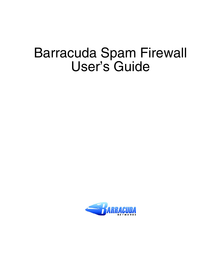# Barracuda Spam Firewall User's Guide

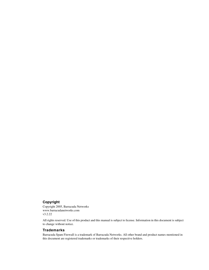#### **Copyright**

Copyright 2005, Barracuda Networks www.barracudanetworks.com v3.2.22

All rights reserved. Use of this product and this manual is subject to license. Information in this document is subject to change without notice.

#### **Trademarks**

Barracuda Spam Firewall is a trademark of Barracuda Networks. All other brand and product names mentioned in this document are registered trademarks or trademarks of their respective holders.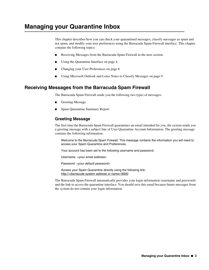## **Managing your Quarantine Inbox**

This chapter describes how you can check your quarantined messages, classify messages as spam and not spam, and modify your user preferences using the Barracuda Spam Firewall interface. This chapter contains the following topics:

- [Receiving Messages from the Barracuda Spam Firewall in the next section](#page-2-0).
- [Using the Quarantine Interface on page 4.](#page-3-0)
- [Changing your User Preferences on page 6.](#page-5-0)
- [Using Microsoft Outlook and Lotus Notes to Classify Messages on page 9](#page-8-0).

#### <span id="page-2-0"></span>**Receiving Messages from the Barracuda Spam Firewall**

The Barracuda Spam Firewall sends you the following two types of messages:

- **Greeting Message**
- Spam Quarantine Summary Report

#### **Greeting Message**

The first time the Barracuda Spam Firewall quarantines an email intended for you, the system sends you a greeting message with a subject line of User Quarantine Account Information. The greeting message contains the following information:

Welcome to the Barracuda Spam Firewall. This message contains the information you will need to access your Spam Quarantine and Preferences.

Your account has been set to the following username and password:

Username: <your email address>

Password: <your default password>

Access your Spam Quarantine directly using the following link: http://<br/>barracuda system address or name>:8000

The Barracuda Spam Firewall automatically provides your login information (username and password) and the link to access the quarantine interface. You should save this email because future messages from the system do not contain your login information.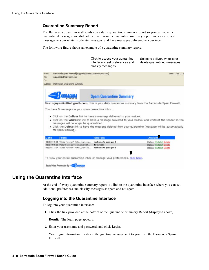#### **Quarantine Summary Report**

The Barracuda Spam Firewall sends you a daily quarantine summary report so you can view the quarantined messages you did not receive. From the quarantine summary report you can also add messages to your whitelist, delete messages, and have messages delivered to your inbox.

The following figure shows an example of a quarantine summary report.

|                     |                                                                                                                                                                                                                                                                                                                                                                   | Click to access your quarantine<br>interface to set preferences and<br>classify messages                                                                                                                                                                                                                                                                                                                  |                | Select to deliver, whitelist or<br>delete quarantined messages                   |
|---------------------|-------------------------------------------------------------------------------------------------------------------------------------------------------------------------------------------------------------------------------------------------------------------------------------------------------------------------------------------------------------------|-----------------------------------------------------------------------------------------------------------------------------------------------------------------------------------------------------------------------------------------------------------------------------------------------------------------------------------------------------------------------------------------------------------|----------------|----------------------------------------------------------------------------------|
| From:<br>To:<br>Cc: | Barracuda Spam Firewall [support@barracudanetworks.com]<br>nguyen@affinitypath.com                                                                                                                                                                                                                                                                                |                                                                                                                                                                                                                                                                                                                                                                                                           |                | Sent: Tue 1/13/                                                                  |
| Subject:            | Daily Spam Quarantine Summary                                                                                                                                                                                                                                                                                                                                     |                                                                                                                                                                                                                                                                                                                                                                                                           |                |                                                                                  |
|                     |                                                                                                                                                                                                                                                                                                                                                                   | <b>Spam Quarantine Summary</b>                                                                                                                                                                                                                                                                                                                                                                            |                |                                                                                  |
|                     | You have 3 messages in your spam guarantine inbox.<br>messages will no longer be quarantined.<br>for spam learning)                                                                                                                                                                                                                                               | Dear nguyen@affinitypath.com, this is your daily quarantine summary from the Barracuta Spam Firewall.<br>. Click on the Deliver link to have a message delivered to your maibox.<br>. Click on the Whitelist link to have a message delivered to your mailbox and whitelist the sender so that<br>. Click the Delete link to have the message deleted from your quarantine (message will be automatically |                |                                                                                  |
| Date                | From                                                                                                                                                                                                                                                                                                                                                              | <b>Subject</b>                                                                                                                                                                                                                                                                                                                                                                                            | <b>Actions</b> |                                                                                  |
|                     | 01/12 13:01 "Khoa Nguyen" <khoa_barracu <br="">01/07 08:26 Peter Salenger <peteatwork@<br>01/08 11:04 "Khoa Nguyen" <khoa barracu<="" td=""><td>welcome to paris you 1<br/>hi test zip<br/>welcome to paris you 1</td><td></td><td>Deliver Whitelist Delete<br/>Deliver Whitelist Delete<br/>Deliver Whitelist Delete</td></khoa></peteatwork@<br></khoa_barracu> | welcome to paris you 1<br>hi test zip<br>welcome to paris you 1                                                                                                                                                                                                                                                                                                                                           |                | Deliver Whitelist Delete<br>Deliver Whitelist Delete<br>Deliver Whitelist Delete |
|                     |                                                                                                                                                                                                                                                                                                                                                                   | To view your entire quarantine inbox or manage your preferences, click here.                                                                                                                                                                                                                                                                                                                              |                |                                                                                  |
|                     | Spam/Virus Protection By                                                                                                                                                                                                                                                                                                                                          |                                                                                                                                                                                                                                                                                                                                                                                                           |                |                                                                                  |

## <span id="page-3-0"></span>**Using the Quarantine Interface**

At the end of every quarantine summary report is a link to the quarantine interface where you can set additional preferences and classify messages as spam and not spam.

## **Logging into the Quarantine Interface**

To log into your quarantine interface:

**1.** Click the link provided at the bottom of the Quarantine Summary Report (displayed above).

**Result:** The login page appears.

**2.** Enter your username and password, and click **Login**.

Your login information resides in the greeting message sent to you from the Barracuda Spam Firewall.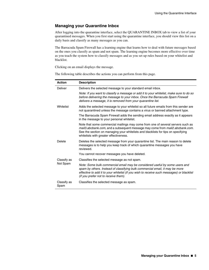#### **Managing your Quarantine Inbox**

After logging into the quarantine interface, select the QUARANTINE INBOX tab to view a list of your quarantined messages. When you first start using the quarantine interface, you should view this list on a daily basis and classify as many messages as you can.

The Barracuda Spam Firewall has a learning engine that learns how to deal with future messages based on the ones you classify as spam and not spam. The learning engine becomes more effective over time as you teach the system how to classify messages and as you set up rules based on your whitelist and blacklist.

Clicking on an email displays the message.

The following table describes the actions you can perform from this page.

| <b>Action</b>       | <b>Description</b>                                                                                                                                                                                                                                                                               |
|---------------------|--------------------------------------------------------------------------------------------------------------------------------------------------------------------------------------------------------------------------------------------------------------------------------------------------|
| <b>Deliver</b>      | Delivers the selected message to your standard email inbox.                                                                                                                                                                                                                                      |
|                     | Note: If you want to classify a message or add it to your whitelist, make sure to do so<br>before delivering the message to your inbox. Once the Barracuda Spam Firewall<br>delivers a message, it is removed from your quarantine list.                                                         |
| Whitelist           | Adds the selected message to your whitelist so all future emails from this sender are<br>not quarantined unless the message contains a virus or banned attachment type.                                                                                                                          |
|                     | The Barracuda Spam Firewall adds the sending email address exactly as it appears<br>in the message to your personal whitelist.                                                                                                                                                                   |
|                     | Note that some commercial mailings may come from one of several servers such as<br>mail3.abcbank.com, and a subsequent message may come from mail2.abcbank.com.<br>See the section on managing your whitelists and blacklists for tips on specifying<br>whitelists with greater effectiveness.   |
| Delete              | Deletes the selected message from your quarantine list. The main reason to delete<br>messages is to help you keep track of which quarantine messages you have<br>reviewed.                                                                                                                       |
|                     | You cannot recover messages you have deleted.                                                                                                                                                                                                                                                    |
| Classify as         | Classifies the selected message as not spam.                                                                                                                                                                                                                                                     |
| Not Spam            | Note: Some bulk commercial email may be considered useful by some users and<br>spam by others. Instead of classifying bulk commercial email, it may be more<br>effective to add it to your whitelist (if you wish to receive such messages) or blacklist<br>(if you prefer not to receive them). |
| Classify as<br>Spam | Classifies the selected message as spam.                                                                                                                                                                                                                                                         |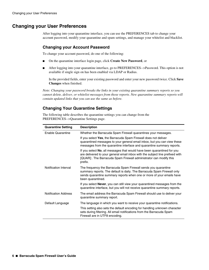## <span id="page-5-0"></span>**Changing your User Preferences**

After logging into your quarantine interface, you can use the PREFERENCES tab to change your account password, modify your quarantine and spam settings, and manage your whitelist and blacklist.

#### **Changing your Account Password**

To change your account password, do one of the following:

- On the quarantine interface login page, click **Create New Password**, or
- After logging into your quarantine interface, go to PREFERENCES-->Password. This option is not available if single sign on has been enabled via LDAP or Radius.

In the provided fields, enter your existing password and enter your new password twice. Click **Save Changes** when finished.

*Note: Changing your password breaks the links in your existing quarantine summary reports so you cannot delete, deliver, or whitelist messages from those reports. New quarantine summary reports will contain updated links that you can use the same as before.*

## **Changing Your Quarantine Settings**

The following table describes the quarantine settings you can change from the PREFERENCES-->Quarantine Settings page.

| <b>Quarantine Setting</b>   | <b>Description</b>                                                                                                                                                                                                                        |  |
|-----------------------------|-------------------------------------------------------------------------------------------------------------------------------------------------------------------------------------------------------------------------------------------|--|
| Enable Quarantine           | Whether the Barracuda Spam Firewall quarantines your messages.                                                                                                                                                                            |  |
|                             | If you select Yes, the Barracuda Spam Firewall does not deliver<br>quarantined messages to your general email inbox, but you can view these<br>messages from the quarantine interface and quarantine summary reports.                     |  |
|                             | If you select No, all messages that would have been quarantined for you<br>are delivered to your general email inbox with the subject line prefixed with<br>[QUAR]:. The Barracuda Spam Firewall administrator can modify this<br>prefix. |  |
| Notification Interval       | The frequency the Barracuda Spam Firewall sends you quarantine<br>summary reports. The default is daily. The Barracuda Spam Firewall only<br>sends quarantine summary reports when one or more of your emails have<br>been quarantined.   |  |
|                             | If you select <b>Never</b> , you can still view your quarantined messages from the<br>quarantine interface, but you will not receive quarantine summary reports.                                                                          |  |
| <b>Notification Address</b> | The email address the Barracuda Spam Firewall should use to deliver your<br>quarantine summary report.                                                                                                                                    |  |
| Default Language            | The language in which you want to receive your quarantine notifications.                                                                                                                                                                  |  |
|                             | This setting also sets the default encoding for handling unknown character<br>sets during filtering. All email notifications from the Barracuda Spam<br>Firewall are in UTF8 encoding.                                                    |  |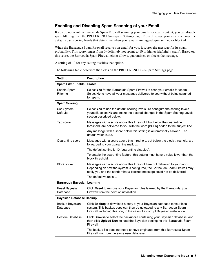#### **Enabling and Disabling Spam Scanning of your Email**

If you do not want the Barracuda Spam Firewall scanning your emails for spam content, you can disable spam filtering from the PREFERENCES-->Spam Settings page. From this page you can also change the default spam scoring levels that determine when your emails are tagged, quarantined or blocked.

When the Barracuda Spam Firewall receives an email for you, it scores the message for its spam probability. This score ranges from 0 (definitely not spam) to 10 or higher (definitely spam). Based on this score, the Barracuda Spam Firewall either allows, quarantines, or blocks the message.

A setting of 10 for any setting disables that option.

The following table describes the fields on the PREFERENCES-->Spam Settings page.

| <b>Setting</b>                     | <b>Description</b>                                                                                                                                                                                                                    |  |  |  |  |
|------------------------------------|---------------------------------------------------------------------------------------------------------------------------------------------------------------------------------------------------------------------------------------|--|--|--|--|
| <b>Spam Filter Enable/Disable</b>  |                                                                                                                                                                                                                                       |  |  |  |  |
| Enable Spam<br>Filtering           | Select Yes for the Barracuda Spam Firewall to scan your emails for spam.<br>Select No to have all your messages delivered to you without being scanned<br>for spam.                                                                   |  |  |  |  |
| <b>Spam Scoring</b>                |                                                                                                                                                                                                                                       |  |  |  |  |
| Use System<br>Defaults             | Select Yes to use the default scoring levels. To configure the scoring levels<br>yourself, select No and make the desired changes in the Spam Scoring Levels<br>section described below.                                              |  |  |  |  |
| Tag score                          | Messages with a score above this threshold, but below the quarantine<br>threshold, are delivered to you with the word [BULK] added to the subject line.                                                                               |  |  |  |  |
|                                    | Any message with a score below this setting is automatically allowed. The<br>default value is 3.5.                                                                                                                                    |  |  |  |  |
| Quarantine score                   | Messages with a score above this threshold, but below the block threshold, are<br>forwarded to your quarantine mailbox.                                                                                                               |  |  |  |  |
|                                    | The default setting is 10 (quarantine disabled).                                                                                                                                                                                      |  |  |  |  |
|                                    | To enable the quarantine feature, this setting must have a value lower than the<br>block threshold.                                                                                                                                   |  |  |  |  |
| <b>Block score</b>                 | Messages with a score above this threshold are not delivered to your inbox.<br>Depending on how the system is configured, the Barracuda Spam Firewall may<br>notify you and the sender that a blocked message could not be delivered. |  |  |  |  |
|                                    | The default value is 9.                                                                                                                                                                                                               |  |  |  |  |
| <b>Barracuda Bayesian Learning</b> |                                                                                                                                                                                                                                       |  |  |  |  |
| Reset Bayesian<br>Database         | Click Reset to remove your Bayesian rules learned by the Barracuda Spam<br>Firewall from the point of installation.                                                                                                                   |  |  |  |  |
| <b>Bayesian Database Backup</b>    |                                                                                                                                                                                                                                       |  |  |  |  |
| Backup Bayesian<br>Database        | Click Backup to download a copy of your Bayesian database to your local<br>system. This backup copy can then be uploaded to any Barracuda Spam<br>Firewall, including this one, in the case of a corrupt Bayesian installation.       |  |  |  |  |
| <b>Restore Database</b>            | Click Browse to select the backup file containing your Bayesian database, and<br>then click Upload Now to load the Bayesian settings to this Barracuda Spam<br>Firewall.                                                              |  |  |  |  |
|                                    | The backup file does not need to have originated from this Barracuda Spam<br>Firewall, nor from the same user database.                                                                                                               |  |  |  |  |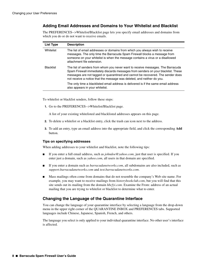## **Adding Email Addresses and Domains to Your Whitelist and Blacklist**

The PREFERENCES-->Whitelist/Blacklist page lets you specify email addresses and domains from which you do or do not want to receive emails.

| List Type        | <b>Description</b>                                                                                                                                                                                                                                                                                                                |
|------------------|-----------------------------------------------------------------------------------------------------------------------------------------------------------------------------------------------------------------------------------------------------------------------------------------------------------------------------------|
| Whitelist        | The list of email addresses or domains from which you always wish to receive<br>messages. The only time the Barracuda Spam Firewall blocks a message from<br>someone on your whitelist is when the message contains a virus or a disallowed<br>attachment file extension.                                                         |
| <b>Blacklist</b> | The list of senders from whom you never want to receive messages. The Barracuda<br>Spam Firewall immediately discards messages from senders on your blacklist. These<br>messages are not tagged or quarantined and cannot be recovered. The sender does<br>not receive a notice that the message was deleted, and neither do you. |
|                  | The only time a blacklisted email address is delivered is if the same email address<br>also appears in your whitelist.                                                                                                                                                                                                            |

To whitelist or blacklist senders, follow these steps:

**1.** Go to the PREFERENCES-->Whitelist/Blacklist page.

A list of your existing whitelisted and blacklisted addresses appears on this page.

- **2.** To delete a whitelist or a blacklist entry, click the trash can icon next to the address.
- **3.** To add an entry, type an email address into the appropriate field, and click the corresponding **Add** button.

#### **Tips on specifying addresses**

When adding addresses to your whitelist and blacklist, note the following tips:

- If you enter a full email address, such as *johndoe@yahoo.com*, just that user is specified. If you enter just a domain, such as *yahoo.com*, all users in that domain are specified.
- If you enter a domain such as *barracudanetworks.com*, all subdomains are also included, such as *support.barracudanetworks.com* and *test.barracudanetworks.com*.
- Mass mailings often come from domains that do not resemble the company's Web site name. For example, you may want to receive mailings from *historybookclub.com*, but you will find that this site sends out its mailing from the domain *hbcfyi.com*. Examine the From: address of an actual mailing that you are trying to whitelist or blacklist to determine what to enter.

## **Changing the Language of the Quarantine Interface**

You can change the language of your quarantine interface by selecting a language from the drop-down menu in the upper right corner of the QUARANTINE INBOX and PREFERENCES tabs. Supported languages include Chinese, Japanese, Spanish, French, and others.

The language you select is only applied to your individual quarantine interface. No other user's interface is affected.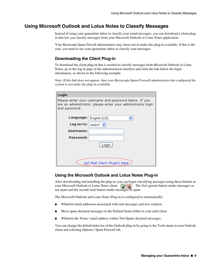## <span id="page-8-0"></span>**Using Microsoft Outlook and Lotus Notes to Classify Messages**

Instead of using your quarantine inbox to classify your email messages, you can download a client plugin that lets you classify messages from your Microsoft Outlook or Lotus Notes application.

Your Barracuda Spam Firwall administrator may chose not to make this plug-in available. If this is the case, you need to use your quarantine inbox to classify your messages.

#### **Downloading the Client Plug-in**

To download the client plug-in that is needed to classify messages from Microsoft Outlook or Lotus Notes, go to the log-in page of the administration interface and click the link below the login information, as shown in the following example:

*Note: If this link does not appear, then your Barracuda Spam Firewall administrator has configured the system to not make the plug-in available.*

| Login                                                                                                                                 |        |  |
|---------------------------------------------------------------------------------------------------------------------------------------|--------|--|
| Please enter your username and password below. If you<br>are an administrator, please enter your administrator login<br>and password. |        |  |
| Language: English (US)                                                                                                                |        |  |
| Log on to:                                                                                                                            | realm1 |  |
| Username:                                                                                                                             |        |  |
| Password:                                                                                                                             |        |  |
|                                                                                                                                       | Login  |  |
|                                                                                                                                       |        |  |
| Get Mail Client Plugins Here                                                                                                          |        |  |

#### **Using the Microsoft Outlook and Lotus Notes Plug-in**

After downloading and installing the plug-in, you can begin classifying messages using these buttons in your Microsoft Outlook or Lotus Notes client:  $\Box$   $\Box$  The first (green) button marks messages as not spam and the second (red) button marks messages as spam.

The Microsoft Outlook and Lotus Notes Plug-in is configured to automatically:

- Whitelist email addresses associated with sent messages and new contacts
- Move spam-declared messages to the Deleted Items folder in your mail client
- Whitelist the 'From:' email address within 'Not-Spam'-declared messages.

You can change the default behavior of the Outlook plug-in by going to the Tools menu in your Outlook client and selecting Options | Spam Firewall tab.